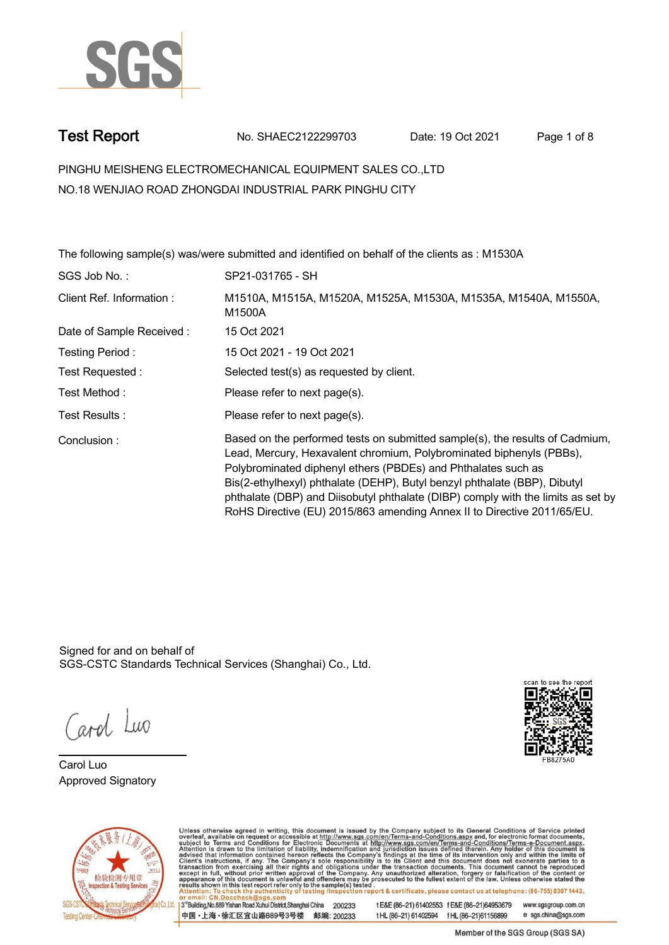

**Test Report. No. SHAEC2122299703 Date: 19 Oct 2021. Page 1 of 8.**

**PINGHU MEISHENG ELECTROMECHANICAL EQUIPMENT SALES CO.,LTD . NO.18 WENJIAO ROAD ZHONGDAI INDUSTRIAL PARK PINGHU CITY**

**The following sample(s) was/were submitted and identified on behalf of the clients as : M1530A . SGS Job No. : SP21-031765 - SH. Client Ref. Information : . M1510A, M1515A, M1520A, M1525A, M1530A, M1535A, M1540A, M1550A, M1500A. Date of Sample Received : . 15 Oct 2021. Testing Period :. 15 Oct 2021 - 19 Oct 2021 . Test Requested :. Selected test(s) as requested by client. . Please refer to next page(s). . Please refer to next page(s). . Test Method :. Test Results :. Conclusion :. Based on the performed tests on submitted sample(s), the results of Cadmium, Lead, Mercury, Hexavalent chromium, Polybrominated biphenyls (PBBs), Polybrominated diphenyl ethers (PBDEs) and Phthalates such as Bis(2-ethylhexyl) phthalate (DEHP), Butyl benzyl phthalate (BBP), Dibutyl phthalate (DBP) and Diisobutyl phthalate (DIBP) comply with the limits as set by RoHS Directive (EU) 2015/863 amending Annex II to Directive 2011/65/EU. .**

Signed for and on behalf of SGS-CSTC Standards Technical Services (Shanghai) Co., Ltd..

ard Luo

**Carol Luo. Approved Signatory .**





Unless otherwise agreed in writing, this document is issued by the Company subject to its General Conditions of Service printed overleaf, available on request or accessible at http://www.sgs.com/en/Terms-and-Conditions.asp 3<sup>rd</sup> Building No.889 Yishan Road Xuhui District Shanghai China 200233

中国·上海·徐汇区宜山路889号3号楼 邮编: 200233

t E&E (86-21) 61402553 f E&E (86-21)64953679 www.sgsgroup.com.cn tHL (86-21) 61402594 fHL (86-21) 61156899 e sgs.china@sgs.com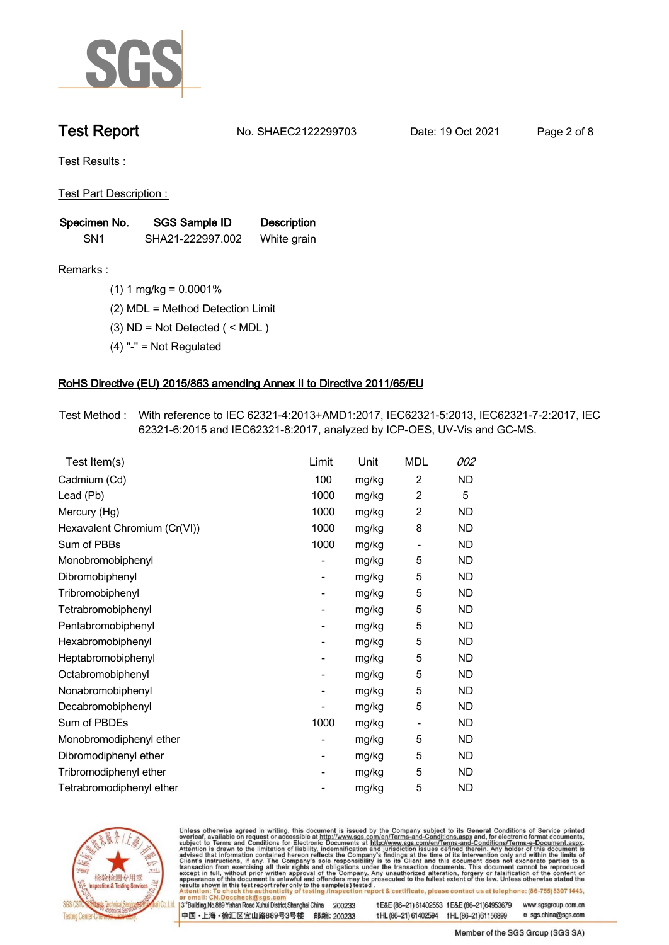

**Test Report. No. SHAEC2122299703 Date: 19 Oct 2021. Page 2 of 8.**

**Test Results :.**

**Test Part Description : .**

| Specimen No.    | SGS Sample ID    | <b>Description</b> |  |
|-----------------|------------------|--------------------|--|
| SN <sub>1</sub> | SHA21-222997.002 | White grain        |  |

- **Remarks :.(1) 1 mg/kg = 0.0001% .**
	- **(2) MDL = Method Detection Limit .**
	- **(3) ND = Not Detected ( < MDL ) .**
	- **(4) "-" = Not Regulated .**

## **RoHS Directive (EU) 2015/863 amending Annex II to Directive 2011/65/EU.**

**Test Method :. With reference to IEC 62321-4:2013+AMD1:2017, IEC62321-5:2013, IEC62321-7-2:2017, IEC 62321-6:2015 and IEC62321-8:2017, analyzed by ICP-OES, UV-Vis and GC-MS. .**

| Test Item(s)                 | Limit          | <u>Unit</u> | <b>MDL</b>               | <u>002</u> |
|------------------------------|----------------|-------------|--------------------------|------------|
| Cadmium (Cd)                 | 100            | mg/kg       | $\overline{2}$           | <b>ND</b>  |
| Lead (Pb)                    | 1000           | mg/kg       | $\overline{2}$           | 5          |
| Mercury (Hg)                 | 1000           | mg/kg       | $\overline{2}$           | <b>ND</b>  |
| Hexavalent Chromium (Cr(VI)) | 1000           | mg/kg       | 8                        | ND         |
| Sum of PBBs                  | 1000           | mg/kg       | $\overline{\phantom{a}}$ | ND         |
| Monobromobiphenyl            |                | mg/kg       | 5                        | <b>ND</b>  |
| Dibromobiphenyl              | -              | mg/kg       | 5                        | ND         |
| Tribromobiphenyl             | -              | mg/kg       | 5                        | <b>ND</b>  |
| Tetrabromobiphenyl           | $\overline{a}$ | mg/kg       | 5                        | ND         |
| Pentabromobiphenyl           | -              | mg/kg       | 5                        | ND         |
| Hexabromobiphenyl            | -              | mg/kg       | 5                        | <b>ND</b>  |
| Heptabromobiphenyl           | $\overline{a}$ | mg/kg       | 5                        | ND.        |
| Octabromobiphenyl            | -              | mg/kg       | 5                        | <b>ND</b>  |
| Nonabromobiphenyl            |                | mg/kg       | 5                        | <b>ND</b>  |
| Decabromobiphenyl            |                | mg/kg       | 5                        | <b>ND</b>  |
| Sum of PBDEs                 | 1000           | mg/kg       | $\overline{\phantom{a}}$ | <b>ND</b>  |
| Monobromodiphenyl ether      | -              | mg/kg       | 5                        | ND         |
| Dibromodiphenyl ether        | -              | mg/kg       | 5                        | ND         |
| Tribromodiphenyl ether       | $\overline{a}$ | mg/kg       | 5                        | ND         |
| Tetrabromodiphenyl ether     |                | mg/kg       | 5                        | ND         |



Unless otherwise agreed in writing, this document is issued by the Company subject to its General Conditions of Service printed overleaf, available on request or accessible at http://www.sgs.com/en/Terms-and-Conditions.asp

3<sup>rd</sup> Building, No.889 Yishan Road Xuhui District, Shanghai China 200233 中国·上海·徐汇区宜山路889号3号楼 邮编: 200233 tE&E (86-21) 61402553 fE&E (86-21)64953679 www.sgsgroup.com.cn

t HL (86-21) 61402594 f HL (86-21) 61156899 e sgs.china@sgs.com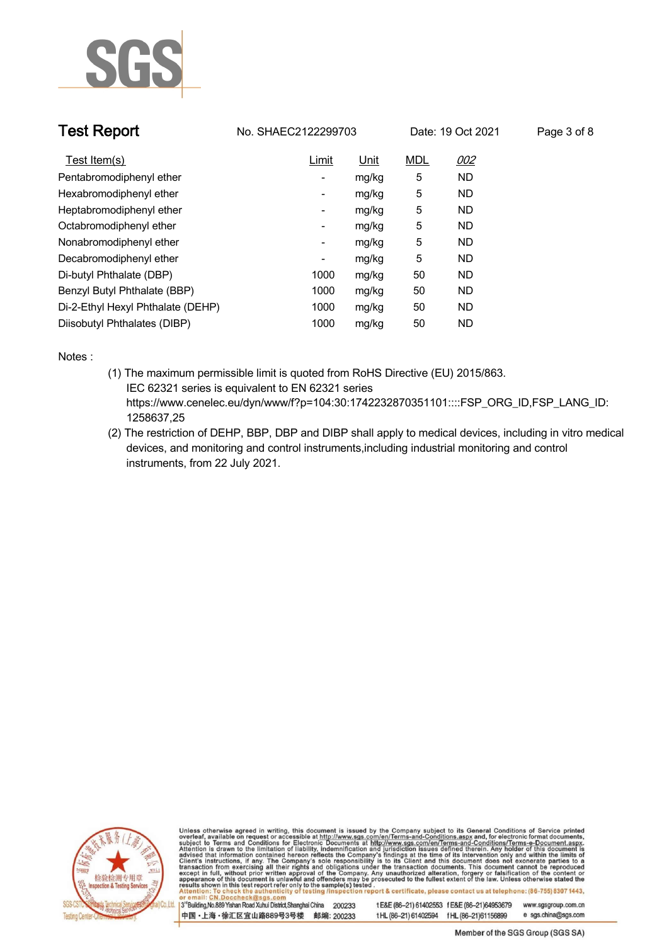

| <b>Test Report</b>                | No. SHAEC2122299703      |             |            | Date: 19 Oct 2021 | Page 3 of 8 |
|-----------------------------------|--------------------------|-------------|------------|-------------------|-------------|
| Test Item(s)                      | <b>Limit</b>             | <u>Unit</u> | <b>MDL</b> | 002               |             |
| Pentabromodiphenyl ether          | -                        | mg/kg       | 5          | <b>ND</b>         |             |
| Hexabromodiphenyl ether           | $\overline{\phantom{a}}$ | mg/kg       | 5          | ND.               |             |
| Heptabromodiphenyl ether          | -                        | mg/kg       | 5          | ND.               |             |
| Octabromodiphenyl ether           | -                        | mg/kg       | 5          | <b>ND</b>         |             |
| Nonabromodiphenyl ether           | $\overline{\phantom{a}}$ | mg/kg       | 5          | <b>ND</b>         |             |
| Decabromodiphenyl ether           | -                        | mg/kg       | 5          | <b>ND</b>         |             |
| Di-butyl Phthalate (DBP)          | 1000                     | mg/kg       | 50         | <b>ND</b>         |             |
| Benzyl Butyl Phthalate (BBP)      | 1000                     | mg/kg       | 50         | ND.               |             |
| Di-2-Ethyl Hexyl Phthalate (DEHP) | 1000                     | mg/kg       | 50         | <b>ND</b>         |             |
| Diisobutyl Phthalates (DIBP)      | 1000                     | mg/kg       | 50         | <b>ND</b>         |             |

**Notes :.**

- **(1) The maximum permissible limit is quoted from RoHS Directive (EU) 2015/863. IEC 62321 series is equivalent to EN 62321 series https://www.cenelec.eu/dyn/www/f?p=104:30:1742232870351101::::FSP\_ORG\_ID,FSP\_LANG\_ID: 1258637,25**
- **(2) The restriction of DEHP, BBP, DBP and DIBP shall apply to medical devices, including in vitro medical devices, and monitoring and control instruments,including industrial monitoring and control instruments, from 22 July 2021. .**



Unless otherwise agreed in writing, this document is issued by the Company subject to its General Conditions of Service printed overleaf, available on request or accessible at http://www.sgs.com/en/Terms-and-Conditions.asp

3<sup>rd</sup>Building, No.889 Yishan Road Xuhui District, Shanghai China 200233 中国·上海·徐汇区宜山路889号3号楼 邮编: 200233 t E&E (86-21) 61402553 f E&E (86-21)64953679

www.sgsgroup.com.cn e sgs.china@sgs.com t HL (86-21) 61402594 f HL (86-21) 61156899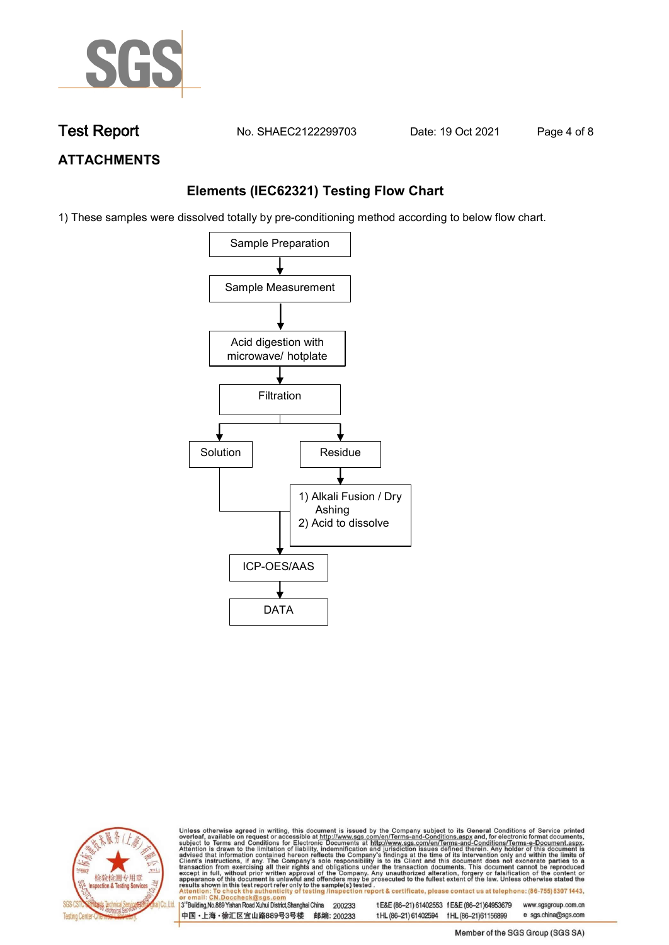

**Test Report. No. SHAEC2122299703 Date: 19 Oct 2021. Page 4 of 8.**

## **ATTACHMENTS**

## **Elements (IEC62321) Testing Flow Chart**

1) These samples were dissolved totally by pre-conditioning method according to below flow chart.





Unless otherwise agreed in writing, this document is issued by the Company subject to its General Conditions of Service printed overleaf, available on request or accessible at http://www.sgs.com/en/Terms-and-Conditions.asp

3<sup>rd</sup> Building, No.889 Yishan Road Xuhui District, Shanghai China 200233 中国·上海·徐汇区宜山路889号3号楼 邮编: 200233 tE&E (86-21) 61402553 fE&E (86-21)64953679 www.sgsgroup.com.cn e sgs.china@sgs.com t HL (86-21) 61402594 f HL (86-21) 61156899

Member of the SGS Group (SGS SA)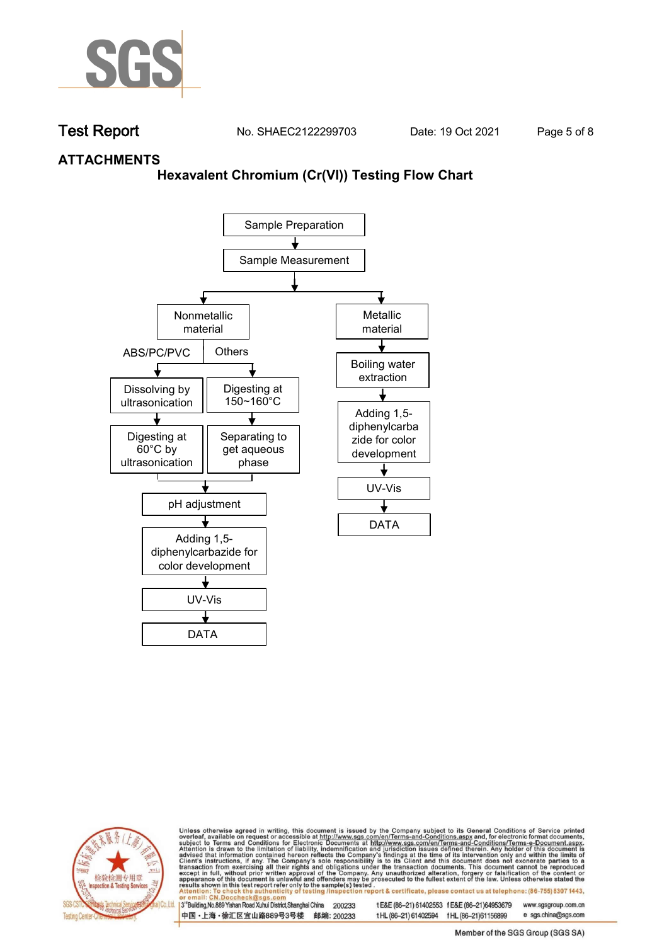

**Test Report. No. SHAEC2122299703 Date: 19 Oct 2021. Page 5 of 8.**

## **ATTACHMENTS**

## **Hexavalent Chromium (Cr(VI)) Testing Flow Chart**





Unless otherwise agreed in writing, this document is issued by the Company subject to its General Conditions of Service printed overleaf, available on request or accessible at http://www.sgs.com/en/Terms-and-Conditions.asp

3<sup>rd</sup> Building, No.889 Yishan Road Xuhui District, Shanghai China 200233 中国·上海·徐汇区宜山路889号3号楼 邮编: 200233 tE&E (86-21) 61402553 fE&E (86-21)64953679 www.sgsgroup.com.cn

t HL (86-21) 61402594 f HL (86-21) 61156899 Member of the SGS Group (SGS SA)

e sgs.china@sgs.com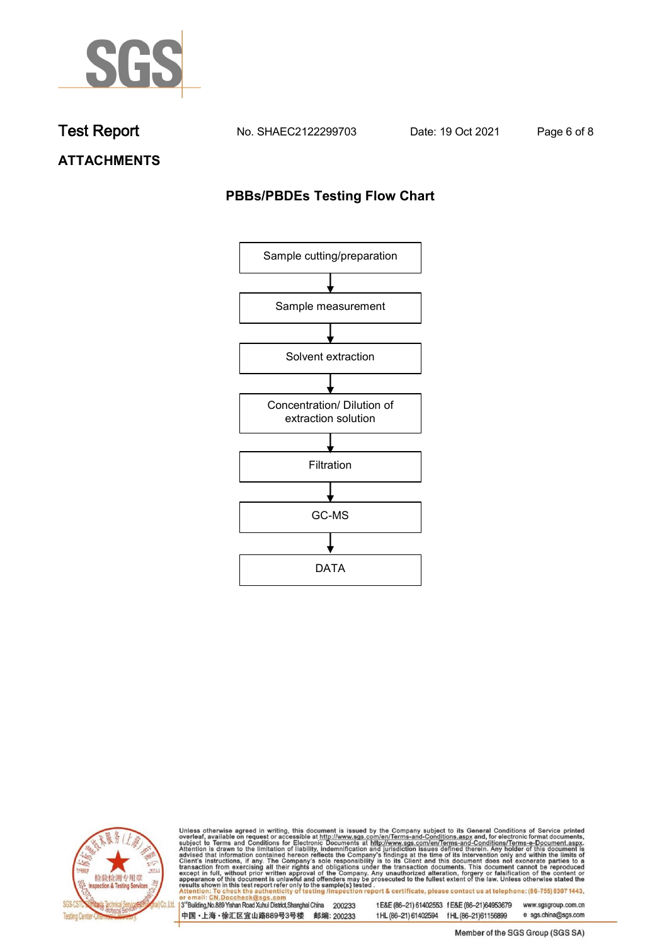

**Test Report. No. SHAEC2122299703 Date: 19 Oct 2021. Page 6 of 8.**

**ATTACHMENTS**

## **PBBs/PBDEs Testing Flow Chart**





Unless otherwise agreed in writing, this document is issued by the Company subject to its General Conditions of Service printed overleaf, available on request or accessible at http://www.sgs.com/en/Terms-and-Conditions.asp

3<sup>'</sup>Building, No.889 Yishan Road Xuhui District, Shanghai China 200233 中国·上海·徐汇区宜山路889号3号楼 邮编: 200233

tE&E (86-21) 61402553 fE&E (86-21)64953679 www.sgsgroup.com.cn

t HL (86-21) 61402594 f HL (86-21) 61156899 e sgs.china@sgs.com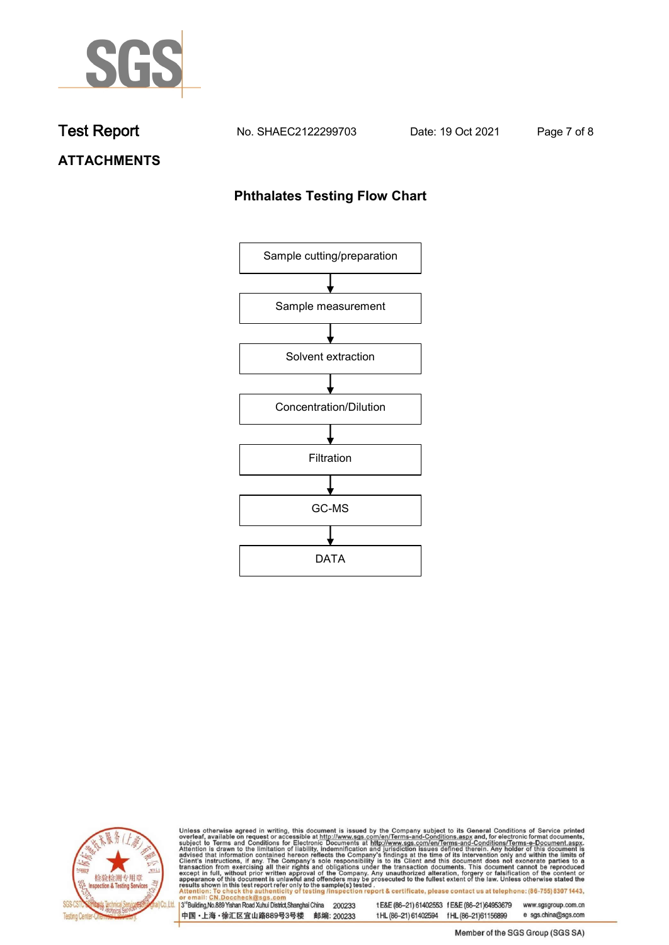

**Test Report. No. SHAEC2122299703 Date: 19 Oct 2021. Page 7 of 8.**

# **ATTACHMENTS**

## **Phthalates Testing Flow Chart**





Unless otherwise agreed in writing, this document is issued by the Company subject to its General Conditions of Service printed overleaf, available on request or accessible at http://www.sgs.com/en/Terms-and-Conditions.asp

3<sup>'</sup>Building, No.889 Yishan Road Xuhui District, Shanghai China 200233 中国·上海·徐汇区宜山路889号3号楼 邮编: 200233

tE&E (86-21) 61402553 fE&E (86-21)64953679 www.sgsgroup.com.cn

e sgs.china@sgs.com t HL (86-21) 61402594 f HL (86-21) 61156899